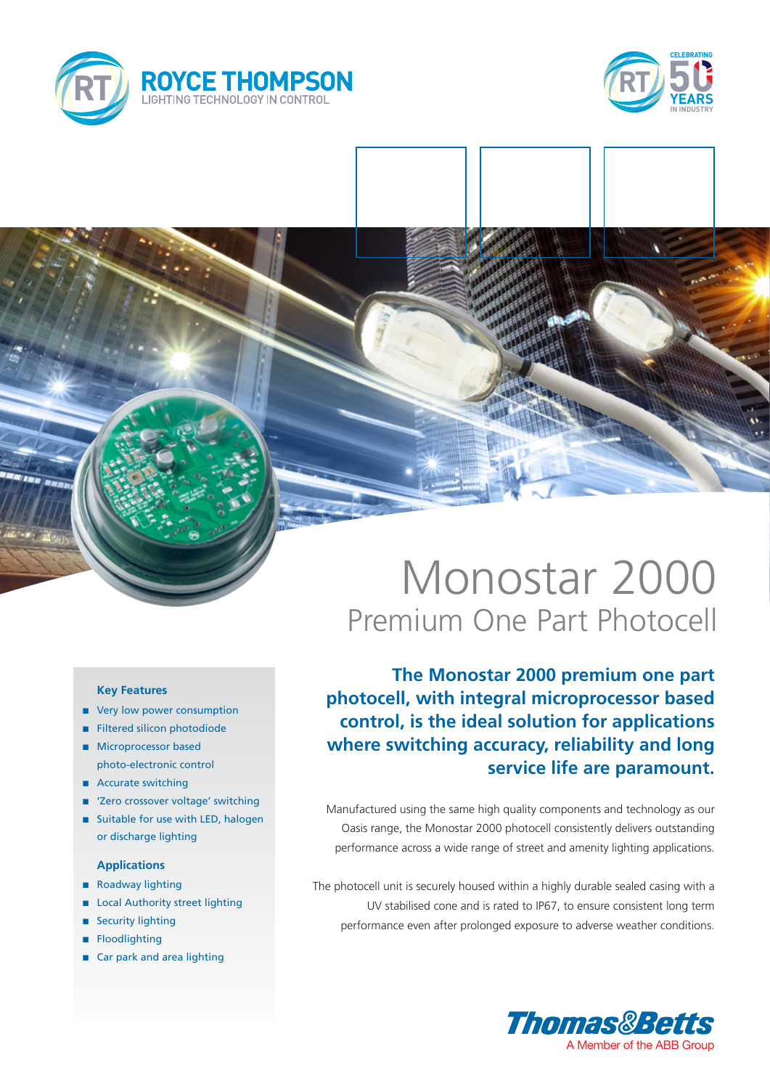



## Monostar 2000 Premium One Part Photocell

**The Monostar 2000 premium one part photocell, with integral microprocessor based control, is the ideal solution for applications where switching accuracy, reliability and long service life are paramount.**

Manufactured using the same high quality components and technology as our Oasis range, the Monostar 2000 photocell consistently delivers outstanding performance across a wide range of street and amenity lighting applications.

The photocell unit is securely housed within a highly durable sealed casing with a UV stabilised cone and is rated to IP67, to ensure consistent long term performance even after prolonged exposure to adverse weather conditions.



## **Key Features**

- very low power consumption
- **n** Filtered silicon photodiode
- **n** Microprocessor based photo-electronic control
- Accurate switching
- 'Zero crossover voltage' switching
- Suitable for use with LED, halogen or discharge lighting

## **Applications**

- Roadway lighting
- Local Authority street lighting
- **Security lighting**
- **n** Floodlighting
- $\blacksquare$  Car park and area lighting